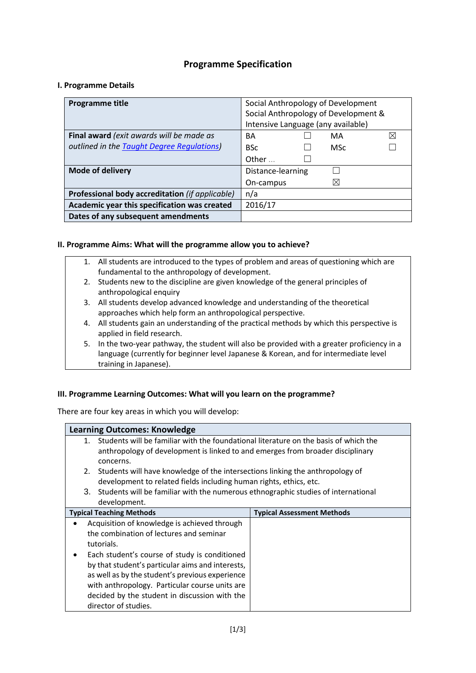# **Programme Specification**

#### **I. Programme Details**

| Programme title                                 | Social Anthropology of Development   |  |  |
|-------------------------------------------------|--------------------------------------|--|--|
|                                                 | Social Anthropology of Development & |  |  |
|                                                 | Intensive Language (any available)   |  |  |
| Final award (exit awards will be made as        | $\bowtie$<br>BA<br>MA                |  |  |
| outlined in the Taught Degree Regulations)      | <b>BSc</b><br><b>MSc</b>             |  |  |
|                                                 | Other $\ldots$                       |  |  |
| <b>Mode of delivery</b>                         | Distance-learning                    |  |  |
|                                                 | $\boxtimes$<br>On-campus             |  |  |
| Professional body accreditation (if applicable) | n/a                                  |  |  |
| Academic year this specification was created    | 2016/17                              |  |  |
| Dates of any subsequent amendments              |                                      |  |  |

#### **II. Programme Aims: What will the programme allow you to achieve?**

- 1. All students are introduced to the types of problem and areas of questioning which are fundamental to the anthropology of development.
- 2. Students new to the discipline are given knowledge of the general principles of anthropological enquiry
- 3. All students develop advanced knowledge and understanding of the theoretical approaches which help form an anthropological perspective.
- 4. All students gain an understanding of the practical methods by which this perspective is applied in field research.
- 5. In the two-year pathway, the student will also be provided with a greater proficiency in a language (currently for beginner level Japanese & Korean, and for intermediate level training in Japanese).

## **III. Programme Learning Outcomes: What will you learn on the programme?**

There are four key areas in which you will develop:

## **Learning Outcomes: Knowledge**

- 1. Students will be familiar with the foundational literature on the basis of which the anthropology of development is linked to and emerges from broader disciplinary concerns.
- 2. Students will have knowledge of the intersections linking the anthropology of development to related fields including human rights, ethics, etc.
- 3. Students will be familiar with the numerous ethnographic studies of international development.

| <b>Typical Teaching Methods</b>                   | <b>Typical Assessment Methods</b> |
|---------------------------------------------------|-----------------------------------|
| Acquisition of knowledge is achieved through<br>٠ |                                   |
| the combination of lectures and seminar           |                                   |
| tutorials.                                        |                                   |
| Each student's course of study is conditioned     |                                   |
| by that student's particular aims and interests,  |                                   |
| as well as by the student's previous experience   |                                   |
| with anthropology. Particular course units are    |                                   |
| decided by the student in discussion with the     |                                   |
| director of studies.                              |                                   |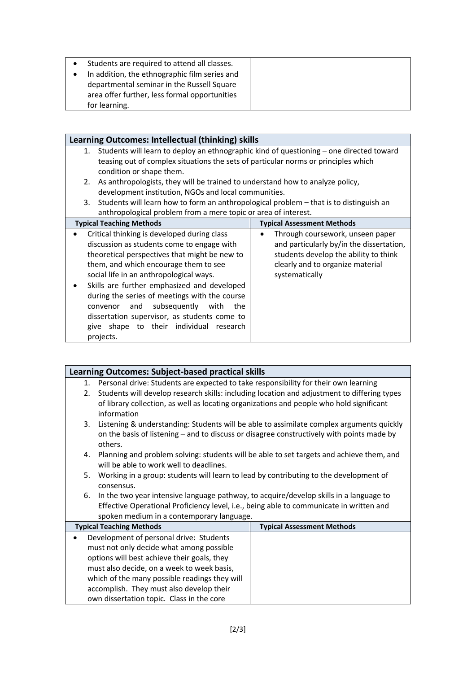| Students are required to attend all classes.<br>In addition, the ethnographic film series and<br>departmental seminar in the Russell Square<br>area offer further, less formal opportunities |  |
|----------------------------------------------------------------------------------------------------------------------------------------------------------------------------------------------|--|
|                                                                                                                                                                                              |  |
| for learning.                                                                                                                                                                                |  |

| Learning Outcomes: Intellectual (thinking) skills                                |                                                                                            |  |  |
|----------------------------------------------------------------------------------|--------------------------------------------------------------------------------------------|--|--|
|                                                                                  | 1. Students will learn to deploy an ethnographic kind of questioning - one directed toward |  |  |
|                                                                                  | teasing out of complex situations the sets of particular norms or principles which         |  |  |
| condition or shape them.                                                         |                                                                                            |  |  |
| 2. As anthropologists, they will be trained to understand how to analyze policy, |                                                                                            |  |  |
| development institution, NGOs and local communities.                             |                                                                                            |  |  |
| 3.                                                                               | Students will learn how to form an anthropological problem - that is to distinguish an     |  |  |
| anthropological problem from a mere topic or area of interest.                   |                                                                                            |  |  |
| <b>Typical Teaching Methods</b>                                                  | <b>Typical Assessment Methods</b>                                                          |  |  |
| Critical thinking is developed during class<br>٠                                 | Through coursework, unseen paper                                                           |  |  |
| discussion as students come to engage with                                       | and particularly by/in the dissertation,                                                   |  |  |
| theoretical perspectives that might be new to                                    | students develop the ability to think                                                      |  |  |
| them, and which encourage them to see                                            | clearly and to organize material                                                           |  |  |
| social life in an anthropological ways.                                          | systematically                                                                             |  |  |
| Skills are further emphasized and developed                                      |                                                                                            |  |  |
| during the series of meetings with the course                                    |                                                                                            |  |  |
| subsequently with<br>and<br>convenor                                             | the                                                                                        |  |  |
| dissertation supervisor, as students come to                                     |                                                                                            |  |  |
| give shape to their individual research                                          |                                                                                            |  |  |
| projects.                                                                        |                                                                                            |  |  |

|                                                                                                   | <b>Learning Outcomes: Subject-based practical skills</b>                                                                             |                                   |  |  |
|---------------------------------------------------------------------------------------------------|--------------------------------------------------------------------------------------------------------------------------------------|-----------------------------------|--|--|
| 1. Personal drive: Students are expected to take responsibility for their own learning            |                                                                                                                                      |                                   |  |  |
| Students will develop research skills: including location and adjustment to differing types<br>2. |                                                                                                                                      |                                   |  |  |
| of library collection, as well as locating organizations and people who hold significant          |                                                                                                                                      |                                   |  |  |
|                                                                                                   | information                                                                                                                          |                                   |  |  |
|                                                                                                   | Listening & understanding: Students will be able to assimilate complex arguments quickly<br>3.                                       |                                   |  |  |
| on the basis of listening – and to discuss or disagree constructively with points made by         |                                                                                                                                      |                                   |  |  |
|                                                                                                   | others.                                                                                                                              |                                   |  |  |
|                                                                                                   | Planning and problem solving: students will be able to set targets and achieve them, and<br>4.                                       |                                   |  |  |
| will be able to work well to deadlines.                                                           |                                                                                                                                      |                                   |  |  |
| Working in a group: students will learn to lead by contributing to the development of<br>5.       |                                                                                                                                      |                                   |  |  |
| consensus.                                                                                        |                                                                                                                                      |                                   |  |  |
|                                                                                                   | In the two year intensive language pathway, to acquire/develop skills in a language to<br>6.                                         |                                   |  |  |
|                                                                                                   | Effective Operational Proficiency level, i.e., being able to communicate in written and<br>spoken medium in a contemporary language. |                                   |  |  |
| <b>Typical Teaching Methods</b>                                                                   |                                                                                                                                      | <b>Typical Assessment Methods</b> |  |  |
|                                                                                                   | Development of personal drive: Students                                                                                              |                                   |  |  |
|                                                                                                   | must not only decide what among possible                                                                                             |                                   |  |  |
| options will best achieve their goals, they                                                       |                                                                                                                                      |                                   |  |  |
| must also decide, on a week to week basis,                                                        |                                                                                                                                      |                                   |  |  |
| which of the many possible readings they will                                                     |                                                                                                                                      |                                   |  |  |
| accomplish. They must also develop their                                                          |                                                                                                                                      |                                   |  |  |
| own dissertation topic. Class in the core                                                         |                                                                                                                                      |                                   |  |  |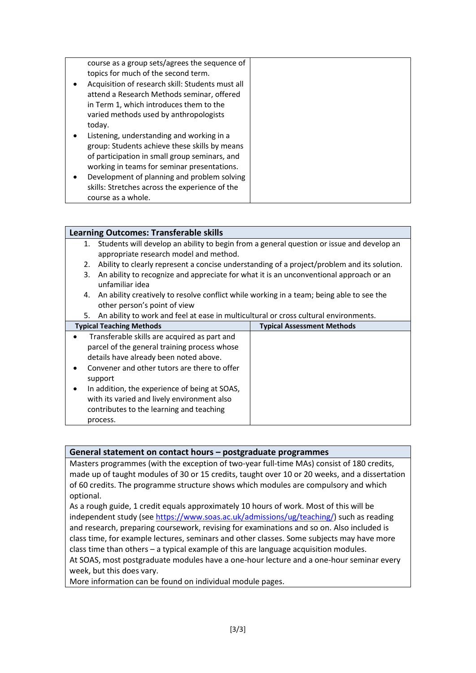|        | course as a group sets/agrees the sequence of<br>topics for much of the second term. |  |
|--------|--------------------------------------------------------------------------------------|--|
|        |                                                                                      |  |
|        | Acquisition of research skill: Students must all                                     |  |
|        | attend a Research Methods seminar, offered                                           |  |
|        | in Term 1, which introduces them to the                                              |  |
|        | varied methods used by anthropologists                                               |  |
| today. |                                                                                      |  |
|        | Listening, understanding and working in a                                            |  |
|        | group: Students achieve these skills by means                                        |  |
|        | of participation in small group seminars, and                                        |  |
|        | working in teams for seminar presentations.                                          |  |
|        | Development of planning and problem solving                                          |  |
|        | skills: Stretches across the experience of the                                       |  |
|        | course as a whole.                                                                   |  |

#### **Learning Outcomes: Transferable skills**

- 1. Students will develop an ability to begin from a general question or issue and develop an appropriate research model and method.
- 2. Ability to clearly represent a concise understanding of a project/problem and its solution.
- 3. An ability to recognize and appreciate for what it is an unconventional approach or an unfamiliar idea
- 4. An ability creatively to resolve conflict while working in a team; being able to see the other person's point of view
- 5. An ability to work and feel at ease in multicultural or cross cultural environments.

| <b>Typical Teaching Methods</b>                                                                                                                                                                                                                                                                                                                                        | <b>Typical Assessment Methods</b> |
|------------------------------------------------------------------------------------------------------------------------------------------------------------------------------------------------------------------------------------------------------------------------------------------------------------------------------------------------------------------------|-----------------------------------|
| Transferable skills are acquired as part and<br>$\bullet$<br>parcel of the general training process whose<br>details have already been noted above.<br>Convener and other tutors are there to offer<br>support<br>In addition, the experience of being at SOAS,<br>with its varied and lively environment also<br>contributes to the learning and teaching<br>process. |                                   |

## **General statement on contact hours – postgraduate programmes**

Masters programmes (with the exception of two-year full-time MAs) consist of 180 credits, made up of taught modules of 30 or 15 credits, taught over 10 or 20 weeks, and a dissertation of 60 credits. The programme structure shows which modules are compulsory and which optional.

As a rough guide, 1 credit equals approximately 10 hours of work. Most of this will be independent study (see [https://www.soas.ac.uk/admissions/ug/teaching/\)](https://www.soas.ac.uk/admissions/ug/teaching/) such as reading and research, preparing coursework, revising for examinations and so on. Also included is class time, for example lectures, seminars and other classes. Some subjects may have more class time than others – a typical example of this are language acquisition modules. At SOAS, most postgraduate modules have a one-hour lecture and a one-hour seminar every week, but this does vary.

More information can be found on individual module pages.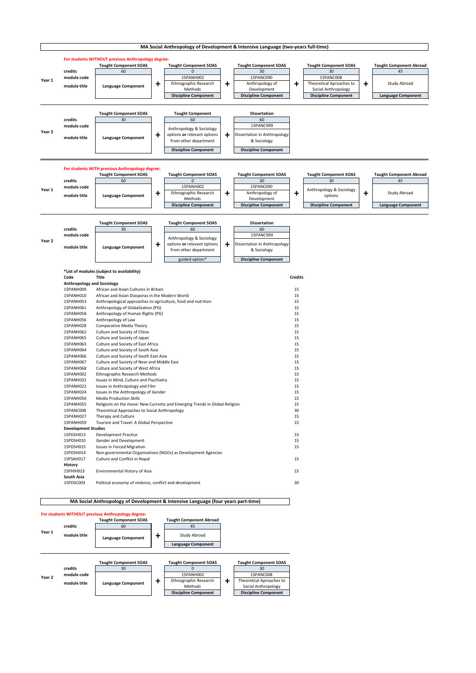

|                            | 15PANH002         | Ethnographic Research Methods                                              | 15 |
|----------------------------|-------------------|----------------------------------------------------------------------------|----|
|                            | 15PANH032         | Issues in Mind, Culture and Psychiatry                                     | 15 |
|                            | 15PANH022         | Issues in Anthropology and Film                                            | 15 |
|                            | 15PANH024         | Issues in the Anthropology of Gender                                       | 15 |
|                            | 15PANH050         | <b>Media Production Skills</b>                                             | 15 |
|                            | 15PANH055         | Religions on the move: New Currents and Emerging Trends in Global Religion | 15 |
|                            | 15PANC008         | Theoretical Approaches to Social Anthropology                              | 30 |
|                            | 15PANH027         | Therapy and Culture                                                        | 15 |
|                            | 15PANH059         | Tourism and Travel: A Global Perspective                                   | 15 |
| <b>Development Studies</b> |                   |                                                                            |    |
|                            | 15PDSH013         | <b>Development Practice</b>                                                | 15 |
|                            | 15PDSH010         | Gender and Development                                                     | 15 |
|                            | 15PDSH015         | <b>Issues in Forced Migration</b>                                          | 15 |
|                            | 15PDSH014         | Non-governmental Organisations (NGOs) as Development Agencies              |    |
|                            | 15PSAH017         | <b>Culture and Conflict in Nepal</b>                                       | 15 |
|                            | <b>History</b>    |                                                                            |    |
|                            | 15PHIH023         | Environmental History of Asia                                              | 15 |
|                            | <b>South Asia</b> |                                                                            |    |
|                            | 15PDSC003         | Political economy of violence, conflict and development                    | 30 |
|                            |                   |                                                                            |    |



**MA Social Anthropology of Development & Intensive Language (four years part-time)**